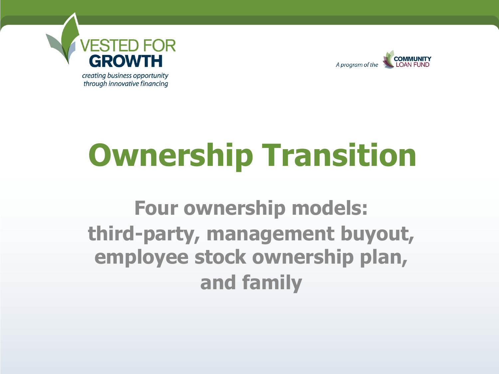

through innovative financing



# **Ownership Transition**

#### **Four ownership models: third-party, management buyout, employee stock ownership plan, and family**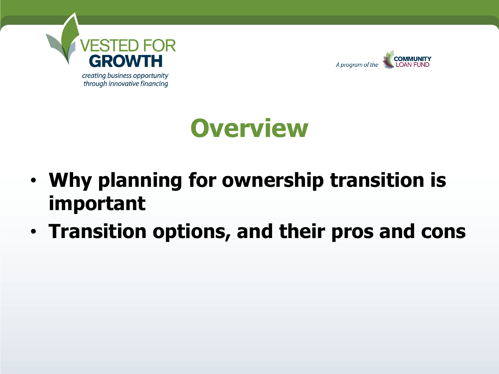



### **Overview**

- **Why planning for ownership transition is important**
- **Transition options, and their pros and cons**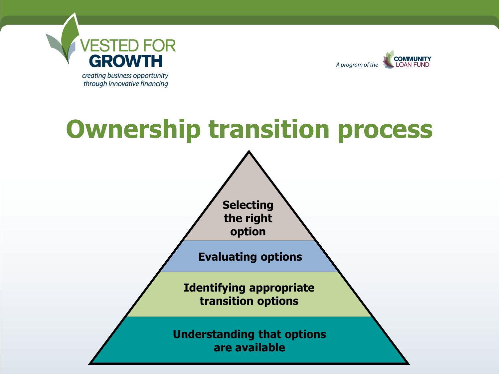

**COMMUNITY** A program of the LOAN FUND

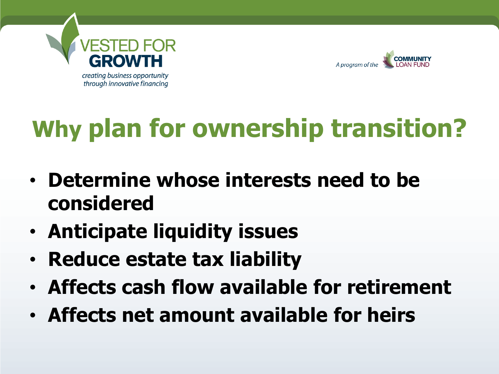



### **Why plan for ownership transition?**

- **Determine whose interests need to be considered**
- **Anticipate liquidity issues**
- **Reduce estate tax liability**
- **Affects cash flow available for retirement**
- **Affects net amount available for heirs**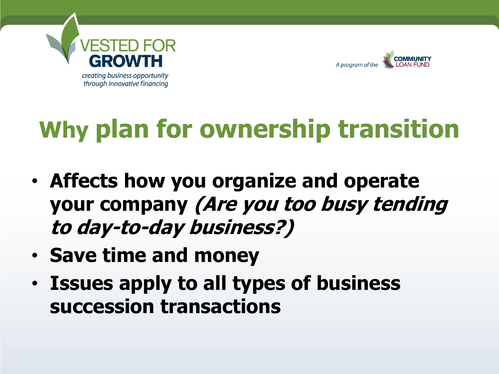



### **Why plan for ownership transition**

- **Affects how you organize and operate your company (Are you too busy tending to day-to-day business?)**
- **Save time and money**
- **Issues apply to all types of business succession transactions**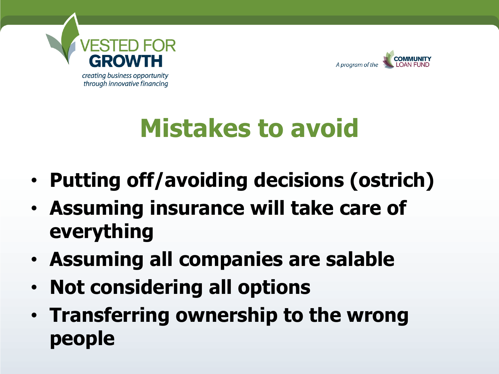



### **Mistakes to avoid**

- **Putting off/avoiding decisions (ostrich)**
- **Assuming insurance will take care of everything**
- **Assuming all companies are salable**
- **Not considering all options**
- **Transferring ownership to the wrong people**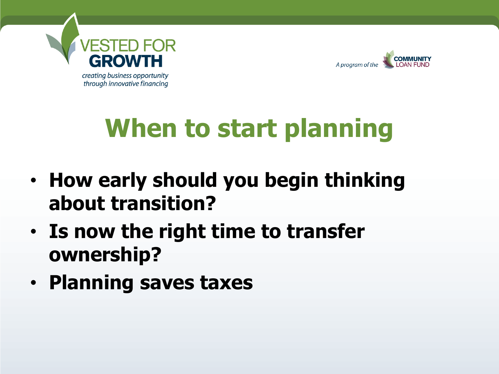



### **When to start planning**

- **How early should you begin thinking about transition?**
- **Is now the right time to transfer ownership?**
- **Planning saves taxes**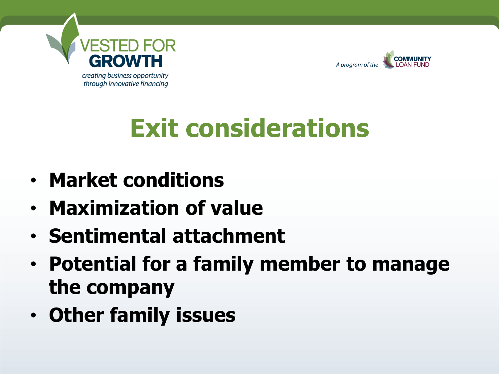



### **Exit considerations**

- **Market conditions**
- **Maximization of value**
- **Sentimental attachment**
- **Potential for a family member to manage the company**
- **Other family issues**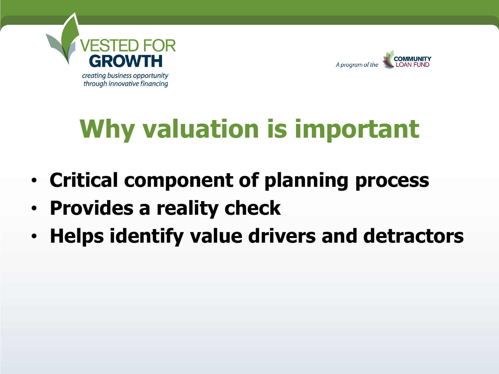



## **Why valuation is important**

- **Critical component of planning process**
- **Provides a reality check**
- **Helps identify value drivers and detractors**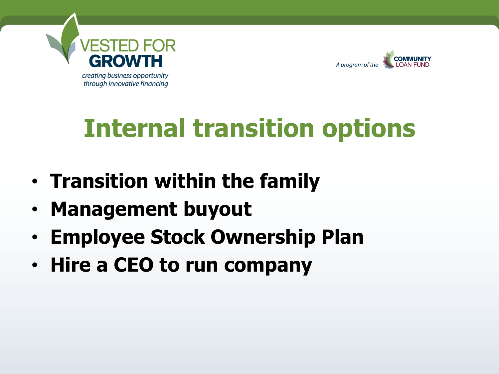



### **Internal transition options**

- **Transition within the family**
- **Management buyout**
- **Employee Stock Ownership Plan**
- **Hire a CEO to run company**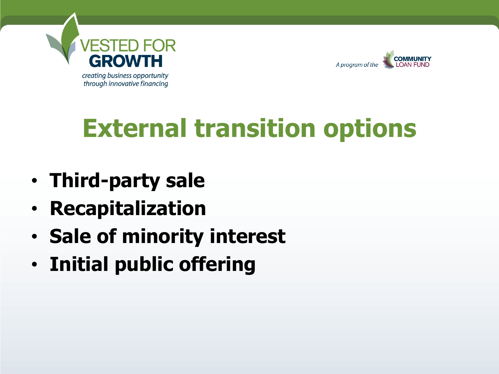



### **External transition options**

- **Third-party sale**
- **Recapitalization**
- **Sale of minority interest**
- **Initial public offering**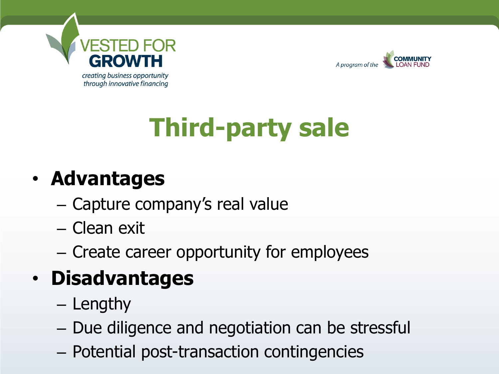



# **Third-party sale**

#### • **Advantages**

- Capture company's real value
- Clean exit
- Create career opportunity for employees

#### • **Disadvantages**

- Lengthy
- Due diligence and negotiation can be stressful
- Potential post-transaction contingencies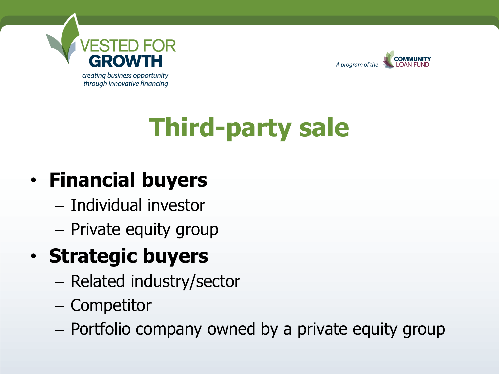



## **Third-party sale**

#### • **Financial buyers**

- Individual investor
- Private equity group

#### • **Strategic buyers**

- Related industry/sector
- Competitor
- Portfolio company owned by a private equity group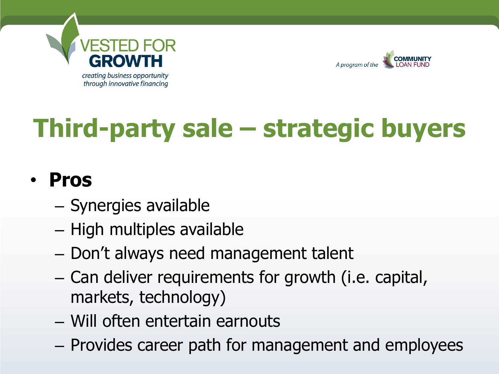



# **Third-party sale – strategic buyers**

#### • **Pros**

- Synergies available
- High multiples available
- Don't always need management talent
- Can deliver requirements for growth (i.e. capital, markets, technology)
- Will often entertain earnouts
- Provides career path for management and employees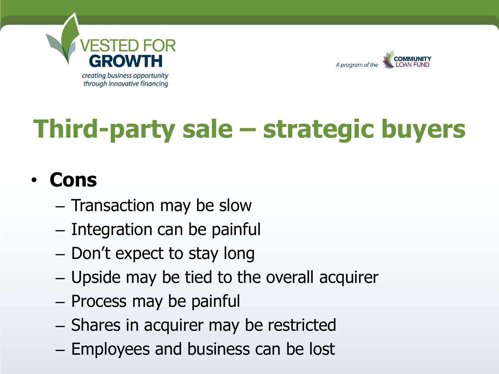



## **Third-party sale – strategic buyers**

#### • **Cons**

- Transaction may be slow
- Integration can be painful
- Don't expect to stay long
- Upside may be tied to the overall acquirer
- Process may be painful
- Shares in acquirer may be restricted
- Employees and business can be lost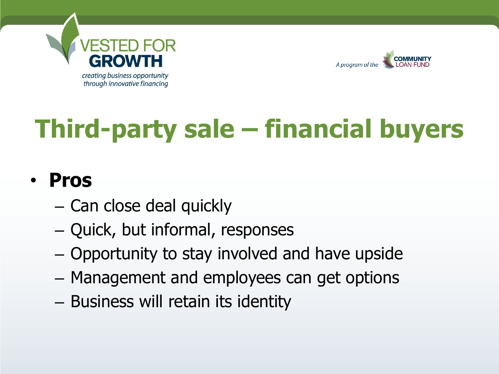



# **Third-party sale – financial buyers**

#### • **Pros**

- Can close deal quickly
- Quick, but informal, responses
- Opportunity to stay involved and have upside
- Management and employees can get options
- Business will retain its identity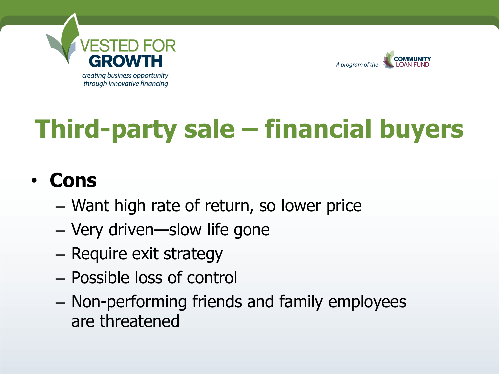



# **Third-party sale – financial buyers**

#### • **Cons**

- Want high rate of return, so lower price
- Very driven—slow life gone
- Require exit strategy
- Possible loss of control
- Non-performing friends and family employees are threatened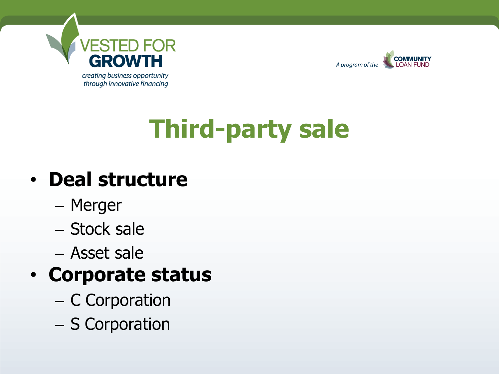



# **Third-party sale**

#### • **Deal structure**

- Merger
- Stock sale
- Asset sale

#### • **Corporate status**

- C Corporation
- S Corporation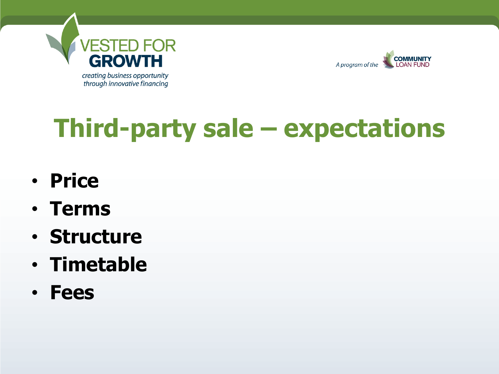



### **Third-party sale – expectations**

- **Price**
- **Terms**
- **Structure**
- **Timetable**
- **Fees**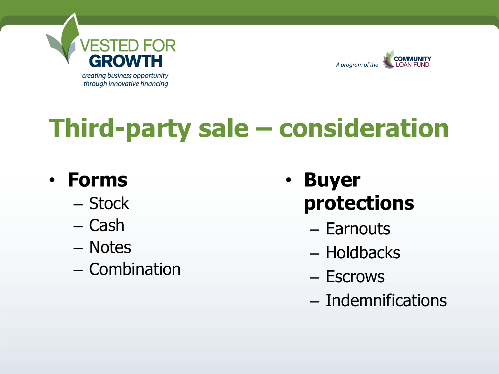



### **Third-party sale – consideration**

#### • **Forms**

- Stock
- Cash
- Notes
- Combination
- **Buyer protections**
	- Earnouts
	- Holdbacks
	- Escrows
	- Indemnifications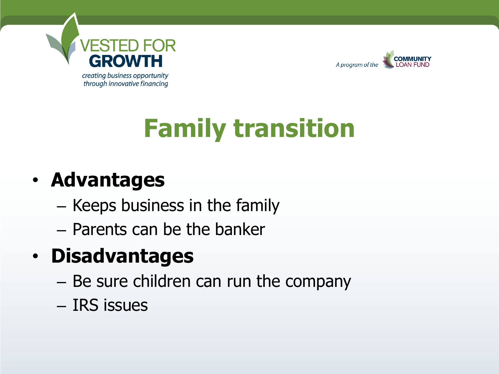



### **Family transition**

#### • **Advantages**

- Keeps business in the family
- Parents can be the banker

#### • **Disadvantages**

- Be sure children can run the company
- IRS issues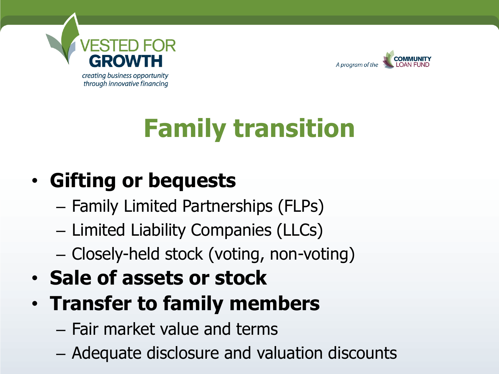



# **Family transition**

#### • **Gifting or bequests**

- Family Limited Partnerships (FLPs)
- Limited Liability Companies (LLCs)
- Closely-held stock (voting, non-voting)
- **Sale of assets or stock**
- **Transfer to family members**
	- Fair market value and terms
	- Adequate disclosure and valuation discounts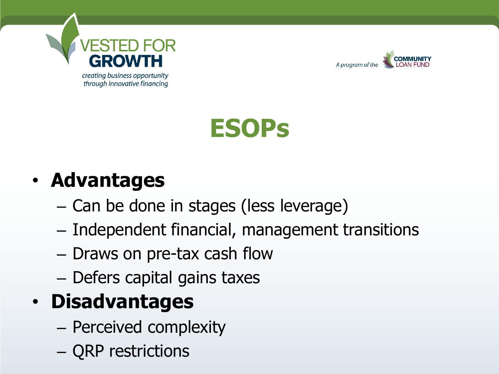



#### • **Advantages**

- Can be done in stages (less leverage)
- Independent financial, management transitions
- Draws on pre-tax cash flow
- Defers capital gains taxes

#### • **Disadvantages**

- Perceived complexity
- QRP restrictions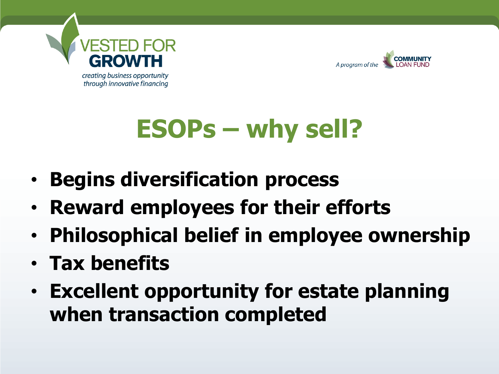



### **ESOPs – why sell?**

- **Begins diversification process**
- **Reward employees for their efforts**
- **Philosophical belief in employee ownership**
- **Tax benefits**
- **Excellent opportunity for estate planning when transaction completed**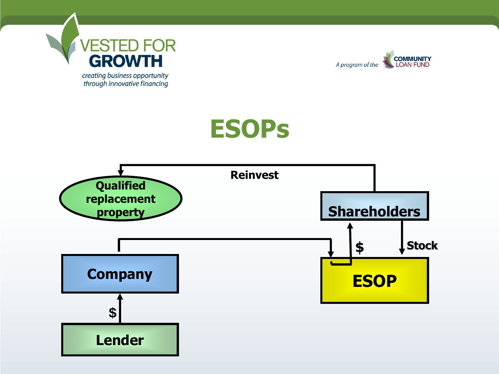



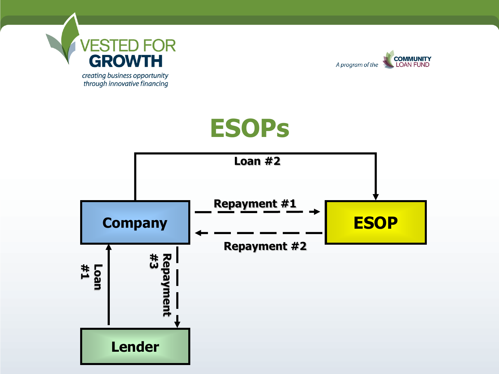



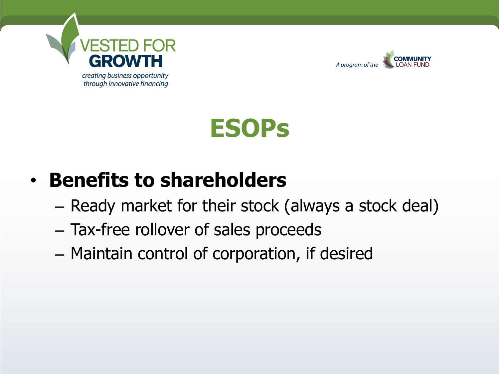



#### • **Benefits to shareholders**

- Ready market for their stock (always a stock deal)
- Tax-free rollover of sales proceeds
- Maintain control of corporation, if desired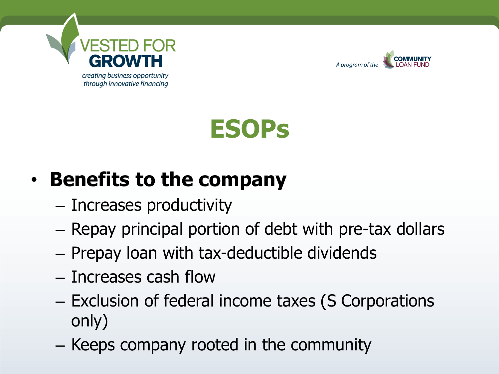



#### • **Benefits to the company**

- Increases productivity
- Repay principal portion of debt with pre-tax dollars
- Prepay loan with tax-deductible dividends
- Increases cash flow
- Exclusion of federal income taxes (S Corporations only)
- Keeps company rooted in the community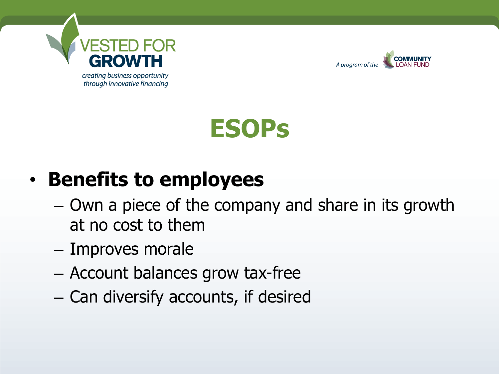



#### • **Benefits to employees**

- Own a piece of the company and share in its growth at no cost to them
- Improves morale
- Account balances grow tax-free
- Can diversify accounts, if desired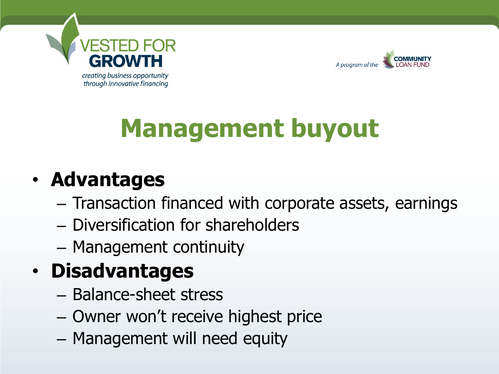



### **Management buyout**

#### • **Advantages**

- Transaction financed with corporate assets, earnings
- Diversification for shareholders
- Management continuity

#### • **Disadvantages**

- Balance-sheet stress
- Owner won't receive highest price
- Management will need equity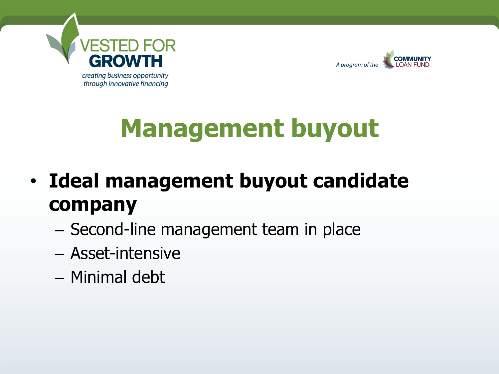



### **Management buyout**

- **Ideal management buyout candidate company**
	- Second-line management team in place
	- Asset-intensive
	- Minimal debt